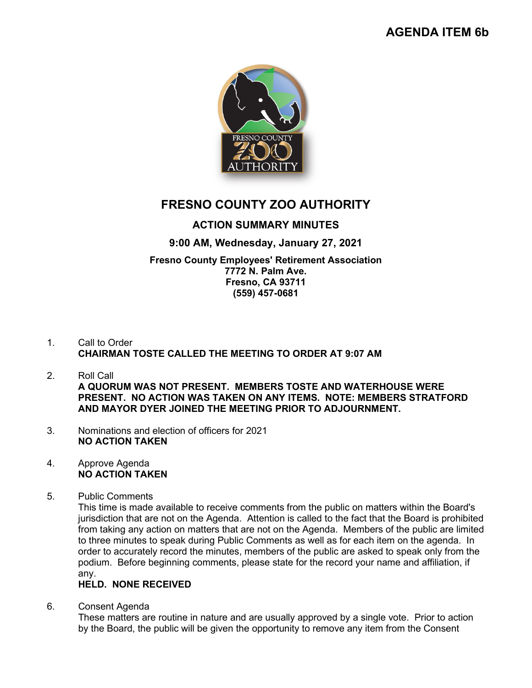

# **FRESNO COUNTY ZOO AUTHORITY**

## **ACTION SUMMARY MINUTES**

## **9:00 AM, Wednesday, January 27, 2021**

#### **Fresno County Employees' Retirement Association 7772 N. Palm Ave. Fresno, CA 93711 (559) 457-0681**

### 1. Call to Order **CHAIRMAN TOSTE CALLED THE MEETING TO ORDER AT 9:07 AM**

- 2. Roll Call **A QUORUM WAS NOT PRESENT. MEMBERS TOSTE AND WATERHOUSE WERE PRESENT. NO ACTION WAS TAKEN ON ANY ITEMS. NOTE: MEMBERS STRATFORD AND MAYOR DYER JOINED THE MEETING PRIOR TO ADJOURNMENT.**
- 3. Nominations and election of officers for 2021 **NO ACTION TAKEN**

#### 4. Approve Agenda **NO ACTION TAKEN**

5. Public Comments

This time is made available to receive comments from the public on matters within the Board's jurisdiction that are not on the Agenda. Attention is called to the fact that the Board is prohibited from taking any action on matters that are not on the Agenda. Members of the public are limited to three minutes to speak during Public Comments as well as for each item on the agenda. In order to accurately record the minutes, members of the public are asked to speak only from the podium. Before beginning comments, please state for the record your name and affiliation, if any.

## **HELD. NONE RECEIVED**

6. Consent Agenda

These matters are routine in nature and are usually approved by a single vote. Prior to action by the Board, the public will be given the opportunity to remove any item from the Consent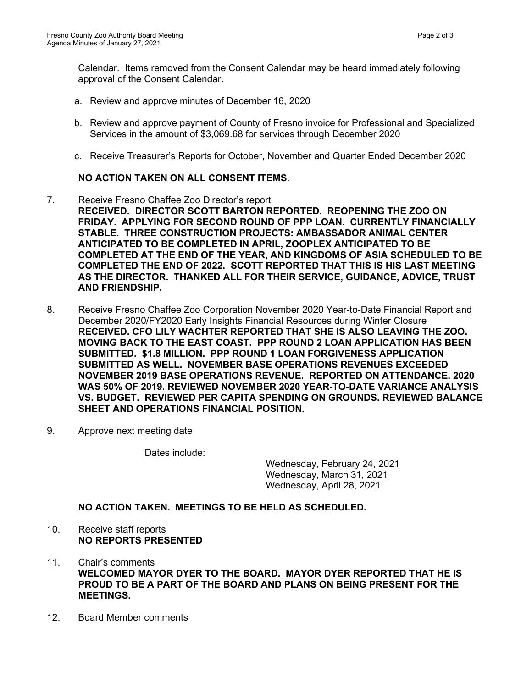Calendar. Items removed from the Consent Calendar may be heard immediately following approval of the Consent Calendar.

- a. Review and approve minutes of December 16, 2020
- b. Review and approve payment of County of Fresno invoice for Professional and Specialized Services in the amount of \$3,069.68 for services through December 2020
- c. Receive Treasurer's Reports for October, November and Quarter Ended December 2020

#### **NO ACTION TAKEN ON ALL CONSENT ITEMS.**

- 7. Receive Fresno Chaffee Zoo Director's report **RECEIVED. DIRECTOR SCOTT BARTON REPORTED. REOPENING THE ZOO ON FRIDAY. APPLYING FOR SECOND ROUND OF PPP LOAN. CURRENTLY FINANCIALLY STABLE. THREE CONSTRUCTION PROJECTS: AMBASSADOR ANIMAL CENTER ANTICIPATED TO BE COMPLETED IN APRIL, ZOOPLEX ANTICIPATED TO BE COMPLETED AT THE END OF THE YEAR, AND KINGDOMS OF ASIA SCHEDULED TO BE COMPLETED THE END OF 2022. SCOTT REPORTED THAT THIS IS HIS LAST MEETING AS THE DIRECTOR. THANKED ALL FOR THEIR SERVICE, GUIDANCE, ADVICE, TRUST AND FRIENDSHIP.**
- 8. Receive Fresno Chaffee Zoo Corporation November 2020 Year-to-Date Financial Report and December 2020/FY2020 Early Insights Financial Resources during Winter Closure **RECEIVED. CFO LILY WACHTER REPORTED THAT SHE IS ALSO LEAVING THE ZOO. MOVING BACK TO THE EAST COAST. PPP ROUND 2 LOAN APPLICATION HAS BEEN SUBMITTED. \$1.8 MILLION. PPP ROUND 1 LOAN FORGIVENESS APPLICATION SUBMITTED AS WELL. NOVEMBER BASE OPERATIONS REVENUES EXCEEDED NOVEMBER 2019 BASE OPERATIONS REVENUE. REPORTED ON ATTENDANCE. 2020 WAS 50% OF 2019. REVIEWED NOVEMBER 2020 YEAR-TO-DATE VARIANCE ANALYSIS VS. BUDGET. REVIEWED PER CAPITA SPENDING ON GROUNDS. REVIEWED BALANCE SHEET AND OPERATIONS FINANCIAL POSITION.**
- 9. Approve next meeting date

Dates include:

Wednesday, February 24, 2021 Wednesday, March 31, 2021 Wednesday, April 28, 2021

**NO ACTION TAKEN. MEETINGS TO BE HELD AS SCHEDULED.**

#### 10. Receive staff reports **NO REPORTS PRESENTED**

- 11. Chair's comments **WELCOMED MAYOR DYER TO THE BOARD. MAYOR DYER REPORTED THAT HE IS PROUD TO BE A PART OF THE BOARD AND PLANS ON BEING PRESENT FOR THE MEETINGS.**
- 12. Board Member comments